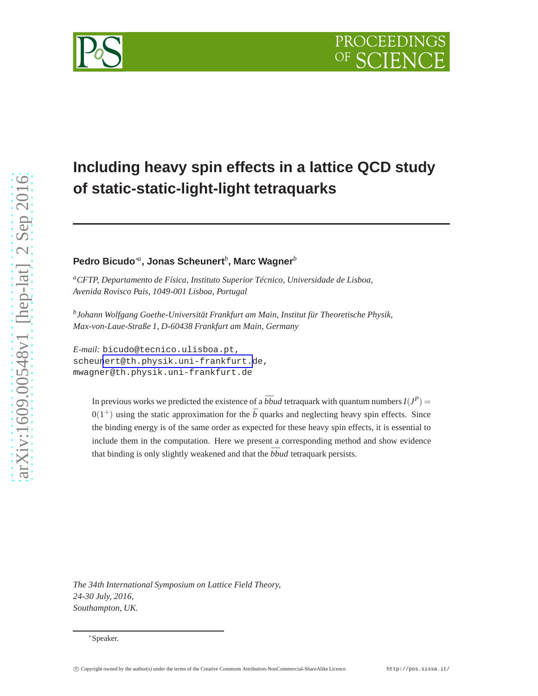# **Including heavy spin effects in a lattice QCD study of static-static-light-light tetraquarks**

# **Pedro Bicudo**∗*<sup>a</sup>* **, Jonas Scheunert***<sup>b</sup>* **, Marc Wagner***<sup>b</sup>*

*<sup>a</sup>CFTP, Departamento de Física, Instituto Superior Técnico, Universidade de Lisboa, Avenida Rovisco Pais, 1049-001 Lisboa, Portugal*

*b Johann Wolfgang Goethe-Universität Frankfurt am Main, Institut für Theoretische Physik, Max-von-Laue-Straße 1, D-60438 Frankfurt am Main, Germany*

*E-mail:* bicudo@tecnico.ulisboa.pt, scheu[nert@th.physik.uni-frankfurt.](mailto:bicudo@tecnico.ulisboa.pt, scheunert@th.physik.uni-frankfurt.de, mwagner@th.physik.uni-frankfurt.de)de, mwagner@th.physik.uni-frankfurt.de

> In previous works we predicted the existence of a  $\bar{b} \bar{b} u d$  tetraquark with quantum numbers  $I(J^P)$  =  $0(1^+)$  using the static approximation for the  $\bar{b}$  quarks and neglecting heavy spin effects. Since the binding energy is of the same order as expected for these heavy spin effects, it is essential to include them in the computation. Here we present a corresponding method and show evidence that binding is only slightly weakened and that the  $\bar{b} \bar{b} u d$  tetraquark persists.

*The 34th International Symposium on Lattice Field Theory, 24-30 July, 2016, Southampton, UK.*

<sup>∗</sup>Speaker.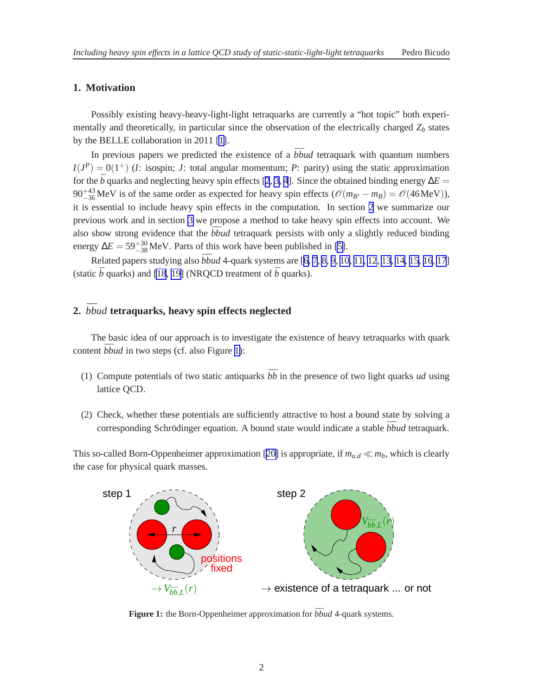# <span id="page-1-0"></span>**1. Motivation**

Possibly existing heavy-heavy-light-light tetraquarks are currently a "hot topic" both experimentally and theoretically, in particular since the observation of the electrically charged  $Z_b$  states by the BELLE collaboration in 2011 [\[1\]](#page-6-0).

In previous papers we predicted the existence of a  $\bar{b} \bar{b} u d$  tetraquark with quantum numbers  $I(J^P) = 0(1^+)$  (*I*: isospin; *J*: total angular momentum; *P*: parity) using the static approximation for the  $\bar{b}$  quarks and neglecting heavy spin effects [[2](#page-6-0), [3, 4](#page-6-0)]. Since the obtained binding energy  $\Delta E =$  $90^{+43}_{-36}$  MeV is of the same order as expected for heavy spin effects  $(\mathcal{O}(m_{B^*} - m_B) = \mathcal{O}(46 \text{MeV}))$ , it is essential to include heavy spin effects in the computation. In section 2 we summarize our previous work and in section [3](#page-3-0) we propose a method to take heavy spin effects into account. We also show strong evidence that the  $b\bar{b}u$  tetraquark persists with only a slightly reduced binding energy  $\Delta E = 59^{+30}_{-38}$  MeV. Parts of this work have been published in [\[5\]](#page-6-0).

Related papers studying also  $b\bar{b}ud$  4-quark systems are [[6](#page-6-0), [7](#page-6-0), [8, 9](#page-6-0), [10, 11, 12](#page-6-0), [13](#page-6-0), [14, 15, 16](#page-6-0), [17](#page-6-0)] (static  $\bar{b}$  quarks) and [\[18](#page-6-0), [19\]](#page-6-0) (NRQCD treatment of  $\bar{b}$  quarks).

# $2.$   $\bar{b}$ *bud* tetraquarks, heavy spin effects neglected

The basic idea of our approach is to investigate the existence of heavy tetraquarks with quark content  $b\bar{b}ud$  in two steps (cf. also Figure 1):

- (1) Compute potentials of two static antiquarks  $\overline{b}\overline{b}$  in the presence of two light quarks *ud* using lattice QCD.
- (2) Check, whether these potentials are sufficiently attractive to host a bound state by solving a corresponding Schrödinger equation. A bound state would indicate a stable *bbud* tetraquark.

This so-called Born-Oppenheimer approximation [\[20\]](#page-6-0) is appropriate, if  $m_{u,d} \ll m_b$ , which is clearly the case for physical quark masses.



**Figure 1:** the Born-Oppenheimer approximation for  $\bar{b} \bar{b} \bar{u} d$  4-quark systems.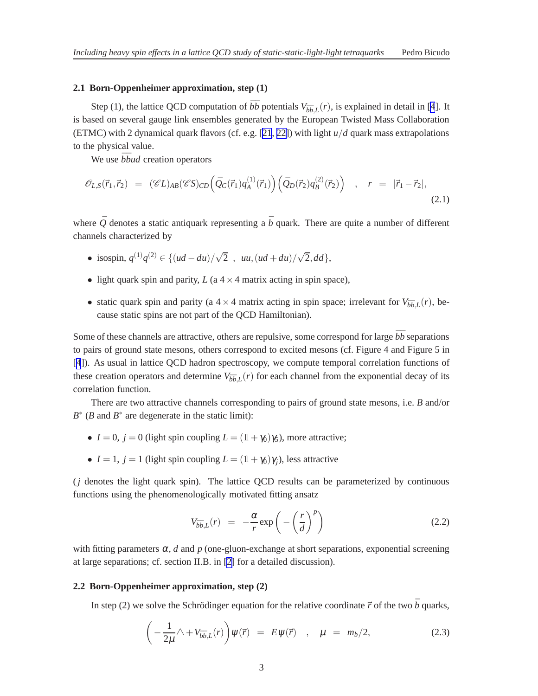### <span id="page-2-0"></span>**2.1 Born-Oppenheimer approximation, step (1)**

Step (1), the lattice QCD computation of  $\bar{b}\bar{b}$  potentials  $V_{\bar{b}\bar{b},L}(r)$ , is explained in detail in [\[4](#page-6-0)]. It is based on several gauge link ensembles generated by the European Twisted Mass Collaboration (ETMC) with 2 dynamical quark flavors (cf. e.g. [[21](#page-6-0), [22\]](#page-6-0)) with light *u*/*d* quark mass extrapolations to the physical value.

We use  $\bar{b}$ *bud* creation operators

$$
\mathscr{O}_{L,S}(\vec{r}_1, \vec{r}_2) = (\mathscr{C}L)_{AB}(\mathscr{C}S)_{CD} \Big( \bar{Q}_C(\vec{r}_1) q_A^{(1)}(\vec{r}_1) \Big) \Big( \bar{Q}_D(\vec{r}_2) q_B^{(2)}(\vec{r}_2) \Big) , \quad r = |\vec{r}_1 - \vec{r}_2|,
$$
\n(2.1)

where  $\overline{Q}$  denotes a static antiquark representing a  $\overline{b}$  quark. There are quite a number of different channels characterized by

- isospin,  $q^{(1)}q^{(2)} \in \{(ud du)/\sqrt{2}, uu, (ud + du)/\sqrt{2}, dd\},\}$
- light quark spin and parity,  $L$  (a  $4 \times 4$  matrix acting in spin space),
- static quark spin and parity (a  $4 \times 4$  matrix acting in spin space; irrelevant for  $V_{\bar{b}\bar{b},L}(r)$ , because static spins are not part of the QCD Hamiltonian).

Some of these channels are attractive, others are repulsive, some correspond for large *bb* separations to pairs of ground state mesons, others correspond to excited mesons (cf. Figure 4 and Figure 5 in [[4](#page-6-0)]). As usual in lattice QCD hadron spectroscopy, we compute temporal correlation functions of these creation operators and determine  $V_{\bar{b}\bar{b},L}(r)$  for each channel from the exponential decay of its correlation function.

There are two attractive channels corresponding to pairs of ground state mesons, i.e. *B* and/or  $B^*$  (*B* and  $B^*$  are degenerate in the static limit):

- $I = 0$ ,  $j = 0$  (light spin coupling  $L = (1 + \gamma_0)\gamma_5$ ), more attractive;
- $I = 1$ ,  $j = 1$  (light spin coupling  $L = (1 + \gamma_0)\gamma_j$ ), less attractive

(*j* denotes the light quark spin). The lattice QCD results can be parameterized by continuous functions using the phenomenologically motivated fitting ansatz

$$
V_{\bar{b}\bar{b},L}(r) = -\frac{\alpha}{r} \exp\left(-\left(\frac{r}{d}\right)^p\right) \tag{2.2}
$$

with fitting parameters  $\alpha$ , *d* and *p* (one-gluon-exchange at short separations, exponential screening at large separations; cf. section II.B. in [\[2\]](#page-6-0) for a detailed discussion).

#### **2.2 Born-Oppenheimer approximation, step (2)**

In step (2) we solve the Schrödinger equation for the relative coordinate  $\vec{r}$  of the two  $\vec{b}$  quarks,

$$
\left(-\frac{1}{2\mu}\triangle + V_{\bar{b}\bar{b},L}(r)\right)\psi(\vec{r}) = E\Psi(\vec{r}) \quad , \quad \mu = m_b/2, \tag{2.3}
$$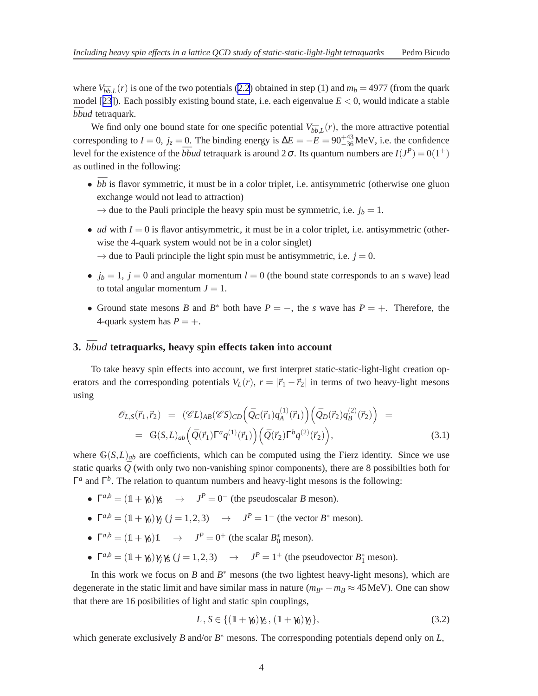<span id="page-3-0"></span>where  $V_{\bar{b}\bar{b},L}(r)$  is one of the two potentials ([2.2](#page-2-0)) obtained in step (1) and  $m_b = 4977$  (from the quark model [[23](#page-6-0)]). Each possibly existing bound state, i.e. each eigenvalue  $E < 0$ , would indicate a stable *bbud* tetraquark.

We find only one bound state for one specific potential  $V_{\bar{b}\bar{b},L}(r)$ , the more attractive potential corresponding to *I* = 0,  $j_z$  = 0. The binding energy is  $\Delta E = -E = 90^{+43}_{-36}$  MeV, i.e. the confidence level for the existence of the  $\bar{b} \bar{b} u d$  tetraquark is around  $2 \sigma$ . Its quantum numbers are  $I(J^P) = 0(1^+)$ as outlined in the following:

- $\cdot \bar{b}\bar{b}$  is flavor symmetric, it must be in a color triplet, i.e. antisymmetric (otherwise one gluon exchange would not lead to attraction)
	- $\rightarrow$  due to the Pauli principle the heavy spin must be symmetric, i.e.  $j_b = 1$ .
- *ud* with  $I = 0$  is flavor antisymmetric, it must be in a color triplet, i.e. antisymmetric (otherwise the 4-quark system would not be in a color singlet)

 $\rightarrow$  due to Pauli principle the light spin must be antisymmetric, i.e.  $j = 0$ .

- $j_b = 1$ ,  $j = 0$  and angular momentum  $l = 0$  (the bound state corresponds to an *s* wave) lead to total angular momentum  $J = 1$ .
- Ground state mesons *B* and  $B^*$  both have  $P = -$ , the *s* wave has  $P = +$ . Therefore, the 4-quark system has  $P = +$ .

## **3.**  $\bar{b}$ *bud* tetraquarks, heavy spin effects taken into account

To take heavy spin effects into account, we first interpret static-static-light-light creation operators and the corresponding potentials  $V_L(r)$ ,  $r = |\vec{r}_1 - \vec{r}_2|$  in terms of two heavy-light mesons using

$$
\mathcal{O}_{L,S}(\vec{r}_1, \vec{r}_2) = (\mathcal{C}L)_{AB}(\mathcal{C}S)_{CD} \Big( \bar{Q}_C(\vec{r}_1) q_A^{(1)}(\vec{r}_1) \Big) \Big( \bar{Q}_D(\vec{r}_2) q_B^{(2)}(\vec{r}_2) \Big) =
$$
\n
$$
= \mathbb{G}(S, L)_{ab} \Big( \bar{Q}(\vec{r}_1) \Gamma^a q^{(1)}(\vec{r}_1) \Big) \Big( \bar{Q}(\vec{r}_2) \Gamma^b q^{(2)}(\vec{r}_2) \Big), \tag{3.1}
$$

where  $G(S, L)_{ab}$  are coefficients, which can be computed using the Fierz identity. Since we use static quarks  $\overline{Q}$  (with only two non-vanishing spinor components), there are 8 possibilties both for  $Γ<sup>a</sup>$  and  $Γ<sup>b</sup>$ . The relation to quantum numbers and heavy-light mesons is the following:

- $\Gamma^{a,b} = (1+\gamma_0)\gamma_5 \rightarrow J^P = 0^-$  (the pseudoscalar *B* meson).
- $\Gamma^{a,b} = (1+\gamma_0)\gamma_j$  *(j* = 1,2,3) →  $J^P = 1^-$  (the vector  $B^*$  meson).
- $\Gamma^{a,b} = (1 + \gamma_0)1 \rightarrow J^P = 0^+$  (the scalar  $B_0^*$  meson).
- $\Gamma^{a,b} = (1+\gamma_0)\gamma_j\gamma_5$  (*j* = 1,2,3)  $\rightarrow$   $J^P = 1^+$  (the pseudovector  $B_1^*$  meson).

In this work we focus on  $B$  and  $B^*$  mesons (the two lightest heavy-light mesons), which are degenerate in the static limit and have similar mass in nature ( $m_{B^*}$  −  $m_B \approx 45$  MeV). One can show that there are 16 posibilities of light and static spin couplings,

$$
L, S \in \{ (\mathbb{1} + \gamma_0) \gamma_5, (\mathbb{1} + \gamma_0) \gamma_j \},\tag{3.2}
$$

which generate exclusively *B* and/or  $B^*$  mesons. The corresponding potentials depend only on  $L$ ,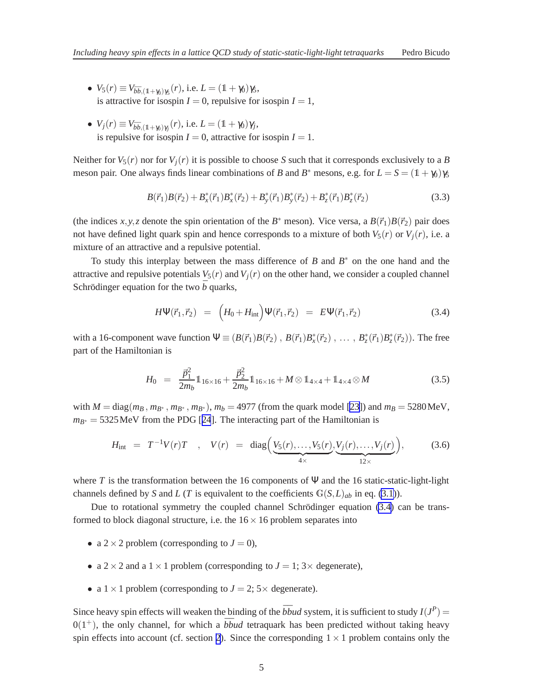- $\bullet$  *V*<sub>5</sub>(*r*)  $\equiv$  *V*<sub> $\bar{b}\bar{b}$ ,(1+γ<sub>0</sub>)γ<sub>5</sub>, *i*.e. *L* = (1+γ<sub>0</sub>)γ<sub>5</sub>,</sub> is attractive for isospin  $I = 0$ , repulsive for isospin  $I = 1$ ,
- $\bullet$  *V*<sub>*j*</sub>(*r*)  $\equiv$  *V*<sub>*b*</sub><sub>*b*</sub><sub>,(1+γ<sub>0</sub>)γ<sub>*j*</sub></sub>(*r*), i.e. *L* = (1+γ<sub>0</sub>)γ<sub>*j*</sub>, is repulsive for isospin  $I = 0$ , attractive for isospin  $I = 1$ .

Neither for  $V_5(r)$  nor for  $V_i(r)$  it is possible to choose *S* such that it corresponds exclusively to a *B* meson pair. One always finds linear combinations of *B* and *B*<sup>\*</sup> mesons, e.g. for  $L = S = (1 + \gamma_0)\gamma_5$ 

$$
B(\vec{r}_1)B(\vec{r}_2) + B_x^*(\vec{r}_1)B_x^*(\vec{r}_2) + B_y^*(\vec{r}_1)B_y^*(\vec{r}_2) + B_z^*(\vec{r}_1)B_z^*(\vec{r}_2)
$$
\n(3.3)

(the indices *x*, *y*, *z* denote the spin orientation of the *B*<sup>\*</sup> meson). Vice versa, a  $B(\vec{r}_1)B(\vec{r}_2)$  pair does not have defined light quark spin and hence corresponds to a mixture of both  $V_5(r)$  or  $V_i(r)$ , i.e. a mixture of an attractive and a repulsive potential.

To study this interplay between the mass difference of *B* and *B*<sup>∗</sup> on the one hand and the attractive and repulsive potentials  $V_5(r)$  and  $V_i(r)$  on the other hand, we consider a coupled channel Schrödinger equation for the two  $\bar{b}$  quarks,

$$
H\Psi(\vec{r}_1, \vec{r}_2) = (H_0 + H_{int})\Psi(\vec{r}_1, \vec{r}_2) = E\Psi(\vec{r}_1, \vec{r}_2)
$$
 (3.4)

with a 16-component wave function  $\Psi \equiv (B(\vec{r}_1)B(\vec{r}_2), B(\vec{r}_1)B^*_x(\vec{r}_2), \dots, B^*_z(\vec{r}_1)B^*_z(\vec{r}_2)).$  The free part of the Hamiltonian is

$$
H_0 = \frac{\vec{p}_1^2}{2m_b} \mathbb{1}_{16 \times 16} + \frac{\vec{p}_2^2}{2m_b} \mathbb{1}_{16 \times 16} + M \otimes \mathbb{1}_{4 \times 4} + \mathbb{1}_{4 \times 4} \otimes M \tag{3.5}
$$

with  $M = \text{diag}(m_B, m_{B^*}, m_{B^*}, m_{B^*}), m_b = 4977$  (from the quark model [\[23](#page-6-0)]) and  $m_B = 5280 \text{ MeV},$  $m_{B^*} = 5325 \text{ MeV}$  from the PDG [[24](#page-6-0)]. The interacting part of the Hamiltonian is

$$
H_{\text{int}} = T^{-1}V(r)T \quad , \quad V(r) = \text{diag}\Big(\underbrace{V_5(r), \dots, V_5(r)}_{4 \times}, \underbrace{V_j(r), \dots, V_j(r)}_{12 \times} \Big), \tag{3.6}
$$

where *T* is the transformation between the 16 components of  $\Psi$  and the 16 static-static-light-light channels defined by *S* and *L* (*T* is equivalent to the coefficients  $G(S, L)_{ab}$  in eq. [\(3.1\)](#page-3-0)).

Due to rotational symmetry the coupled channel Schrödinger equation (3.4) can be transformed to block diagonal structure, i.e. the  $16 \times 16$  problem separates into

- a  $2 \times 2$  problem (corresponding to  $J = 0$ ),
- a  $2 \times 2$  and a  $1 \times 1$  problem (corresponding to  $J = 1$ ;  $3 \times$  degenerate),
- a  $1 \times 1$  problem (corresponding to  $J = 2$ ;  $5 \times$  degenerate).

Since heavy spin effects will weaken the binding of the  $\bar{b} \bar{b} u d$  system, it is sufficient to study  $I(J^P)$  =  $0(1^+)$ , the only channel, for which a  $\bar{b} \bar{b} u d$  tetraquark has been predicted without taking heavy spin effects into account (cf. section [2](#page-1-0)). Since the corresponding  $1 \times 1$  problem contains only the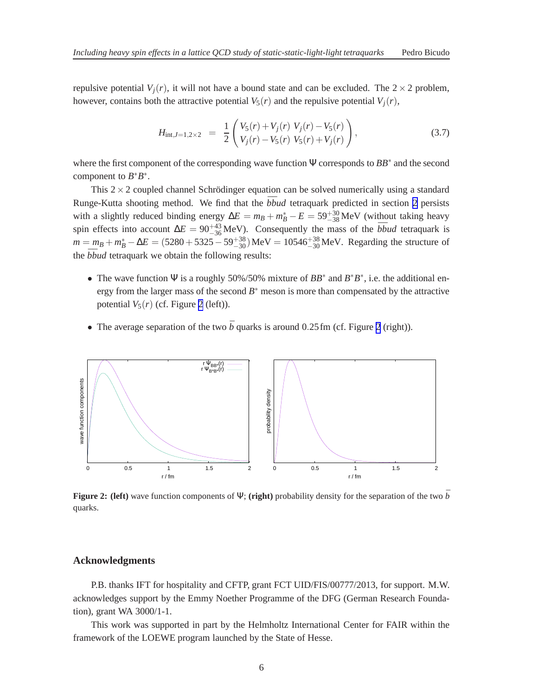repulsive potential  $V_i(r)$ , it will not have a bound state and can be excluded. The  $2 \times 2$  problem, however, contains both the attractive potential  $V_5(r)$  and the repulsive potential  $V_i(r)$ ,

$$
H_{\text{int},J=1,2\times 2} = \frac{1}{2} \begin{pmatrix} V_5(r) + V_j(r) & V_j(r) - V_5(r) \\ V_j(r) - V_5(r) & V_5(r) + V_j(r) \end{pmatrix},
$$
\n(3.7)

where the first component of the corresponding wave function Ψ corresponds to *BB*∗ and the second component to  $B^*B^*$ .

This  $2 \times 2$  coupled channel Schrödinger equation can be solved numerically using a standard Runge-Kutta shooting method. We find that the  $b\bar{b}u$  tetraquark predicted in section [2](#page-1-0) persists with a slightly reduced binding energy  $\Delta E = m_B + m_B^* - E = 59^{+30}_{-38} \text{MeV}$  (without taking heavy spin effects into account  $\Delta E = 90^{+43}_{-36}$  MeV). Consequently the mass of the  $b\bar{b}ud$  tetraquark is  $m = m_B + m_B^* - \Delta E = (5280 + 5325 - 59^{+38}_{-30}) \text{ MeV} = 10546^{+38}_{-30} \text{ MeV}$ . Regarding the structure of the  $b\bar{b}ud$  tetraquark we obtain the following results:

- The wave function  $\Psi$  is a roughly 50%/50% mixture of  $BB^*$  and  $B^*B^*$ , i.e. the additional energy from the larger mass of the second  $B^*$  meson is more than compensated by the attractive potential  $V_5(r)$  (cf. Figure 2 (left)).
- The average separation of the two  $\bar{b}$  quarks is around 0.25 fm (cf. Figure 2 (right)).



**Figure 2:** (left) wave function components of Ψ; (right) probability density for the separation of the two  $\bar{b}$ quarks.

### **Acknowledgments**

P.B. thanks IFT for hospitality and CFTP, grant FCT UID/FIS/00777/2013, for support. M.W. acknowledges support by the Emmy Noether Programme of the DFG (German Research Foundation), grant WA 3000/1-1.

This work was supported in part by the Helmholtz International Center for FAIR within the framework of the LOEWE program launched by the State of Hesse.